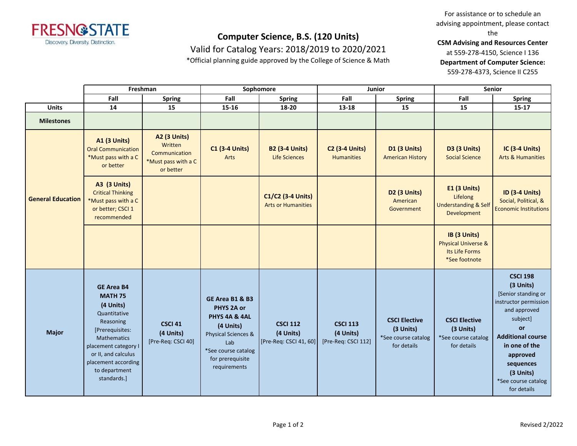

Valid for Catalog Years: 2018/2019 to 2020/2021

\*Official planning guide approved by the College of Science & Math

For assistance or to schedule an advising appointment, please contact the

**CSM Advising and Resources Center**

at 559-278-4150, Science I 136

**Department of Computer Science:**

559-278-4373, Science II C255

|                          | Freshman                                                                                                                                                                                                              |                                                                                     | Sophomore                                                                                                                                            |                                                        | Junior                                              |                                                                         | <b>Senior</b>                                                                     |                                                                                                                                                                                                                                         |
|--------------------------|-----------------------------------------------------------------------------------------------------------------------------------------------------------------------------------------------------------------------|-------------------------------------------------------------------------------------|------------------------------------------------------------------------------------------------------------------------------------------------------|--------------------------------------------------------|-----------------------------------------------------|-------------------------------------------------------------------------|-----------------------------------------------------------------------------------|-----------------------------------------------------------------------------------------------------------------------------------------------------------------------------------------------------------------------------------------|
|                          | Fall                                                                                                                                                                                                                  | <b>Spring</b>                                                                       | Fall                                                                                                                                                 | <b>Spring</b>                                          | Fall                                                | <b>Spring</b>                                                           | Fall                                                                              | <b>Spring</b>                                                                                                                                                                                                                           |
| <b>Units</b>             | 14                                                                                                                                                                                                                    | 15                                                                                  | $15 - 16$                                                                                                                                            | 18-20                                                  | $13 - 18$                                           | 15                                                                      | 15                                                                                | $15 - 17$                                                                                                                                                                                                                               |
| <b>Milestones</b>        |                                                                                                                                                                                                                       |                                                                                     |                                                                                                                                                      |                                                        |                                                     |                                                                         |                                                                                   |                                                                                                                                                                                                                                         |
| <b>General Education</b> | <b>A1 (3 Units)</b><br><b>Oral Communication</b><br>*Must pass with a C<br>or better                                                                                                                                  | <b>A2 (3 Units)</b><br>Written<br>Communication<br>*Must pass with a C<br>or better | <b>C1 (3-4 Units)</b><br>Arts                                                                                                                        | <b>B2 (3-4 Units)</b><br><b>Life Sciences</b>          | <b>C2 (3-4 Units)</b><br><b>Humanities</b>          | D1 (3 Units)<br><b>American History</b>                                 | <b>D3 (3 Units)</b><br><b>Social Science</b>                                      | <b>IC (3-4 Units)</b><br><b>Arts &amp; Humanities</b>                                                                                                                                                                                   |
|                          | A3 (3 Units)<br><b>Critical Thinking</b><br>*Must pass with a C<br>or better; CSCI 1<br>recommended                                                                                                                   |                                                                                     |                                                                                                                                                      | C1/C2 (3-4 Units)<br><b>Arts or Humanities</b>         |                                                     | D2 (3 Units)<br>American<br>Government                                  | E1 (3 Units)<br>Lifelong<br><b>Understanding &amp; Self</b><br>Development        | <b>ID (3-4 Units)</b><br>Social, Political, &<br><b>Economic Institutions</b>                                                                                                                                                           |
|                          |                                                                                                                                                                                                                       |                                                                                     |                                                                                                                                                      |                                                        |                                                     |                                                                         | IB (3 Units)<br><b>Physical Universe &amp;</b><br>Its Life Forms<br>*See footnote |                                                                                                                                                                                                                                         |
| <b>Major</b>             | <b>GE Area B4</b><br><b>MATH 75</b><br>(4 Units)<br>Quantitative<br>Reasoning<br>[Prerequisites:<br>Mathematics<br>placement category I<br>or II, and calculus<br>placement according<br>to department<br>standards.] | CSCI 41<br>(4 Units)<br>[Pre-Req: CSCI 40]                                          | GE Area B1 & B3<br>PHYS 2A or<br>PHYS 4A & 4AL<br>(4 Units)<br>Physical Sciences &<br>Lab<br>*See course catalog<br>for prerequisite<br>requirements | <b>CSCI 112</b><br>(4 Units)<br>[Pre-Req: CSCI 41, 60] | <b>CSCI 113</b><br>(4 Units)<br>[Pre-Req: CSCI 112] | <b>CSCI Elective</b><br>(3 Units)<br>*See course catalog<br>for details | <b>CSCI Elective</b><br>(3 Units)<br>*See course catalog<br>for details           | <b>CSCI 198</b><br>(3 Units)<br>[Senior standing or<br>instructor permission<br>and approved<br>subject]<br>or<br><b>Additional course</b><br>in one of the<br>approved<br>sequences<br>(3 Units)<br>*See course catalog<br>for details |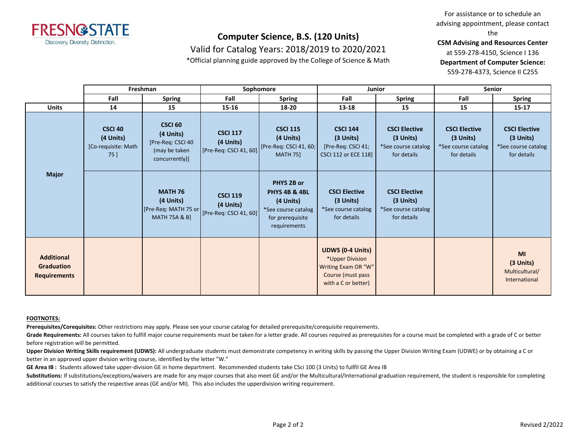

### Valid for Catalog Years: 2018/2019 to 2020/2021

\*Official planning guide approved by the College of Science & Math

For assistance or to schedule an advising appointment, please contact the

**CSM Advising and Resources Center**

at 559-278-4150, Science I 136

**Department of Computer Science:**

559-278-4373, Science II C255

|                                                               | Freshman                                                   |                                                                                     | Sophomore                                              |                                                                                                     | Junior                                                                                                        |                                                                           | Senior                                                                    |                                                                           |
|---------------------------------------------------------------|------------------------------------------------------------|-------------------------------------------------------------------------------------|--------------------------------------------------------|-----------------------------------------------------------------------------------------------------|---------------------------------------------------------------------------------------------------------------|---------------------------------------------------------------------------|---------------------------------------------------------------------------|---------------------------------------------------------------------------|
|                                                               | Fall                                                       | <b>Spring</b>                                                                       | Fall                                                   | <b>Spring</b>                                                                                       | Fall                                                                                                          | <b>Spring</b>                                                             | Fall                                                                      | <b>Spring</b>                                                             |
| <b>Units</b>                                                  | 14                                                         | 15                                                                                  | $15 - 16$                                              | 18-20                                                                                               | $13 - 18$                                                                                                     | 15                                                                        | 15                                                                        | $15 - 17$                                                                 |
| <b>Major</b>                                                  | <b>CSCI 40</b><br>(4 Units)<br>[Co-requisite: Math<br>75 ] | <b>CSCI 60</b><br>(4 Units)<br>[Pre-Req: CSCI 40<br>(may be taken<br>concurrently)] | <b>CSCI 117</b><br>(4 Units)<br>[Pre-Req: CSCI 41, 60] | <b>CSCI 115</b><br>(4 Units)<br>[Pre-Req: CSCI 41, 60;<br><b>MATH 75]</b>                           | <b>CSCI 144</b><br>$(3$ Units)<br>[Pre-Req: CSCI 41;<br>CSCI 112 or ECE 118]                                  | <b>CSCI Elective</b><br>$(3$ Units)<br>*See course catalog<br>for details | <b>CSCI Elective</b><br>$(3$ Units)<br>*See course catalog<br>for details | <b>CSCI Elective</b><br>$(3$ Units)<br>*See course catalog<br>for details |
|                                                               |                                                            | <b>MATH 76</b><br>(4 Units)<br>[Pre-Req: MATH 75 or<br><b>MATH 75A &amp; B]</b>     | <b>CSCI 119</b><br>(4 Units)<br>[Pre-Req: CSCI 41, 60] | PHYS 2B or<br>PHYS 4B & 4BL<br>(4 Units)<br>*See course catalog<br>for prerequisite<br>requirements | <b>CSCI Elective</b><br>$(3$ Units)<br>*See course catalog<br>for details                                     | <b>CSCI Elective</b><br>$(3$ Units)<br>*See course catalog<br>for details |                                                                           |                                                                           |
| <b>Additional</b><br><b>Graduation</b><br><b>Requirements</b> |                                                            |                                                                                     |                                                        |                                                                                                     | <b>UDWS (0-4 Units)</b><br>*Upper Division<br>Writing Exam OR "W"<br>Course (must pass<br>with a C or better) |                                                                           |                                                                           | <b>MI</b><br>(3 Units)<br>Multicultural/<br>International                 |

#### **FOOTNOTES:**

**Prerequisites/Corequisites:** Other restrictions may apply. Please see your course catalog for detailed prerequisite/corequisite requirements.

Grade Requirements: All courses taken to fulfill major course requirements must be taken for a letter grade. All courses required as prerequisites for a course must be completed with a grade of C or better before registration will be permitted.

**Upper Division Writing Skills requirement (UDWS):** All undergraduate students must demonstrate competency in writing skills by passing the Upper Division Writing Exam (UDWE) or by obtaining a C or better in an approved upper division writing course, identified by the letter "W."

**GE Area IB :** Students allowed take upper-division GE in home department. Recommended students take CSci 100 (3 Units) to fullfil GE Area IB

Substitutions: If substitutions/exceptions/waivers are made for any major courses that also meet GE and/or the Multicultural/International graduation requirement, the student is responsible for completing additional courses to satisfy the respective areas (GE and/or MI). This also includes the upperdivision writing requirement.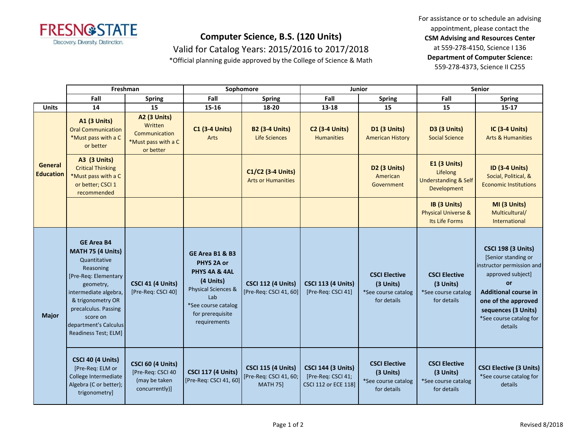

Valid for Catalog Years: 2015/2016 to 2017/2018

\*Official planning guide approved by the College of Science & Math

For assistance or to schedule an advising appointment, please contact the **CSM Advising and Resources Center** at 559-278-4150, Science I 136 **Department of Computer Science:** 559-278-4373, Science II C255

|                                    | Freshman                                                                                                                                                                                                                                    |                                                                                  | Sophomore                                                                                                                                                       |                                                                        | Junior                                                                         |                                                                         | <b>Senior</b>                                                              |                                                                                                                                                                                                                                    |
|------------------------------------|---------------------------------------------------------------------------------------------------------------------------------------------------------------------------------------------------------------------------------------------|----------------------------------------------------------------------------------|-----------------------------------------------------------------------------------------------------------------------------------------------------------------|------------------------------------------------------------------------|--------------------------------------------------------------------------------|-------------------------------------------------------------------------|----------------------------------------------------------------------------|------------------------------------------------------------------------------------------------------------------------------------------------------------------------------------------------------------------------------------|
|                                    | Fall                                                                                                                                                                                                                                        | <b>Spring</b>                                                                    | Fall                                                                                                                                                            | <b>Spring</b>                                                          | Fall                                                                           | <b>Spring</b>                                                           | Fall                                                                       | <b>Spring</b>                                                                                                                                                                                                                      |
| <b>Units</b>                       | 14                                                                                                                                                                                                                                          | 15                                                                               | 15-16                                                                                                                                                           | 18-20                                                                  | 13-18                                                                          | 15                                                                      | 15                                                                         | $15 - 17$                                                                                                                                                                                                                          |
| <b>General</b><br><b>Education</b> | <b>A1 (3 Units)</b><br><b>Oral Communication</b><br>*Must pass with a C<br>or better                                                                                                                                                        | A2 (3 Units)<br>Written<br>Communication<br>*Must pass with a C<br>or better     | <b>C1 (3-4 Units)</b><br><b>Arts</b>                                                                                                                            | <b>B2 (3-4 Units)</b><br>Life Sciences                                 | <b>C2 (3-4 Units)</b><br><b>Humanities</b>                                     | D1 (3 Units)<br><b>American History</b>                                 | D3 (3 Units)<br><b>Social Science</b>                                      | <b>IC (3-4 Units)</b><br><b>Arts &amp; Humanities</b>                                                                                                                                                                              |
|                                    | <b>A3 (3 Units)</b><br><b>Critical Thinking</b><br>*Must pass with a C<br>or better; CSCI 1<br>recommended                                                                                                                                  |                                                                                  |                                                                                                                                                                 | C1/C2 (3-4 Units)<br><b>Arts or Humanities</b>                         |                                                                                | D2 (3 Units)<br>American<br>Government                                  | E1 (3 Units)<br>Lifelong<br><b>Understanding &amp; Self</b><br>Development | <b>ID (3-4 Units)</b><br>Social, Political, &<br><b>Economic Institutions</b>                                                                                                                                                      |
|                                    |                                                                                                                                                                                                                                             |                                                                                  |                                                                                                                                                                 |                                                                        |                                                                                |                                                                         | IB (3 Units)<br><b>Physical Universe &amp;</b><br>Its Life Forms           | MI (3 Units)<br>Multicultural/<br>International                                                                                                                                                                                    |
| <b>Major</b>                       | <b>GE Area B4</b><br>MATH 75 (4 Units)<br>Quantitative<br>Reasoning<br>[Pre-Req: Elementary<br>geometry,<br>intermediate algebra,<br>& trigonometry OR<br>precalculus. Passing<br>score on<br>department's Calculus<br>Readiness Test; ELM] | <b>CSCI 41 (4 Units)</b><br>[Pre-Req: CSCI 40]                                   | GE Area B1 & B3<br>PHYS 2A or<br>PHYS 4A & 4AL<br>(4 Units)<br><b>Physical Sciences &amp;</b><br>Lab<br>*See course catalog<br>for prerequisite<br>requirements | <b>CSCI 112 (4 Units)</b><br>[Pre-Req: CSCI 41, 60]                    | <b>CSCI 113 (4 Units)</b><br>[Pre-Req: CSCI 41]                                | <b>CSCI Elective</b><br>(3 Units)<br>*See course catalog<br>for details | <b>CSCI Elective</b><br>(3 Units)<br>*See course catalog<br>for details    | <b>CSCI 198 (3 Units)</b><br>[Senior standing or<br>instructor permission and<br>approved subject]<br><b>or</b><br><b>Additional course in</b><br>one of the approved<br>sequences (3 Units)<br>*See course catalog for<br>details |
|                                    | CSCI 40 (4 Units)<br>[Pre-Req: ELM or<br>College Intermediate<br>Algebra (C or better);<br>trigonometry]                                                                                                                                    | <b>CSCI 60 (4 Units)</b><br>[Pre-Req: CSCI 40<br>(may be taken<br>concurrently)] | <b>CSCI 117 (4 Units)</b><br>[Pre-Req: CSCI 41, 60]                                                                                                             | <b>CSCI 115 (4 Units)</b><br>[Pre-Req: CSCI 41, 60;<br><b>MATH 75]</b> | <b>CSCI 144 (3 Units)</b><br>[Pre-Req: CSCI 41;<br><b>CSCI 112 or ECE 1181</b> | <b>CSCI Elective</b><br>(3 Units)<br>*See course catalog<br>for details | <b>CSCI Elective</b><br>(3 Units)<br>*See course catalog<br>for details    | <b>CSCI Elective (3 Units)</b><br>*See course catalog for<br>details                                                                                                                                                               |